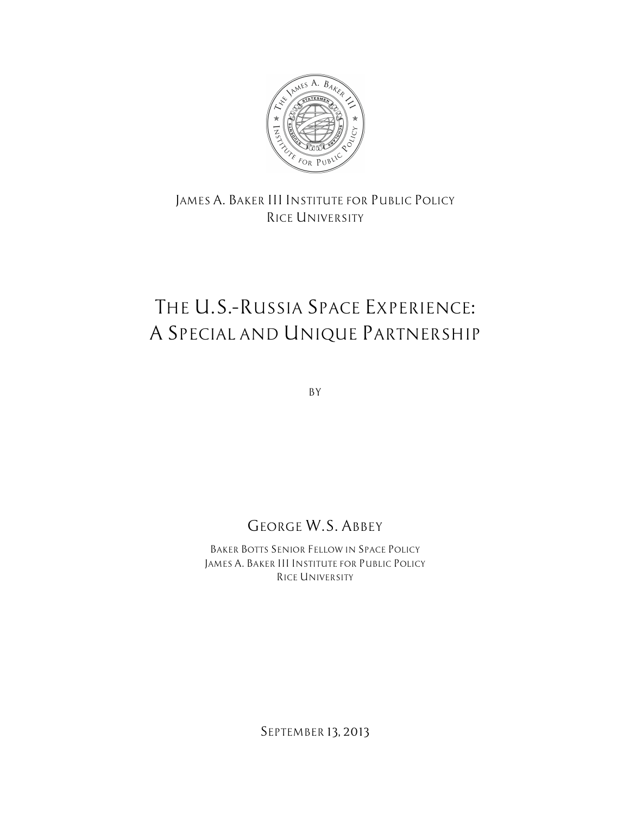

### *JAMES A. BAKER III INSTITUTE FOR PUBLIC POLICY RICE UNIVERSITY*

# *THE U.S.–RUSSIA SPACE EXPERIENCE: A SPECIAL AND UNIQUE PARTNERSHIP*

*BY*

## *GEORGE W.S. ABBEY*

*BAKER BOTTS SENIOR FELLOW IN SPACE POLICY JAMES A. BAKER III INSTITUTE FOR PUBLIC POLICY RICE UNIVERSITY*

*SEPTEMBER 13, 2013*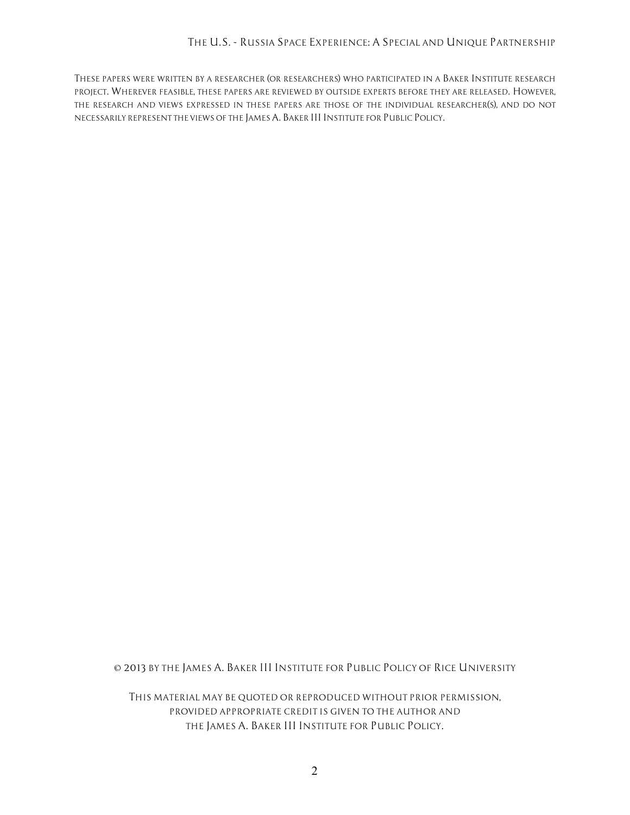*THESE PAPERS WERE WRITTEN BY A RESEARCHER (OR RESEARCHERS) WHO PARTICIPATED IN A BAKER INSTITUTE RESEARCH PROJECT. WHEREVER FEASIBLE, THESE PAPERS ARE REVIEWED BY OUTSIDE EXPERTS BEFORE THEY ARE RELEASED. HOWEVER, THE RESEARCH AND VIEWS EXPRESSED IN THESE PAPERS ARE THOSE OF THE INDIVIDUAL RESEARCHER(S), AND DO NOT NECESSARILY REPRESENT THE VIEWS OF THE JAMES A.BAKER III INSTITUTE FOR PUBLIC POLICY.*

*© 2013 BY THE JAMES A. BAKER III INSTITUTE FOR PUBLIC POLICY OF RICE UNIVERSITY*

*THIS MATERIAL MAY BE QUOTED OR REPRODUCED WITHOUT PRIOR PERMISSION, PROVIDED APPROPRIATE CREDIT IS GIVEN TO THE AUTHOR AND THE JAMES A. BAKER III INSTITUTE FOR PUBLIC POLICY.*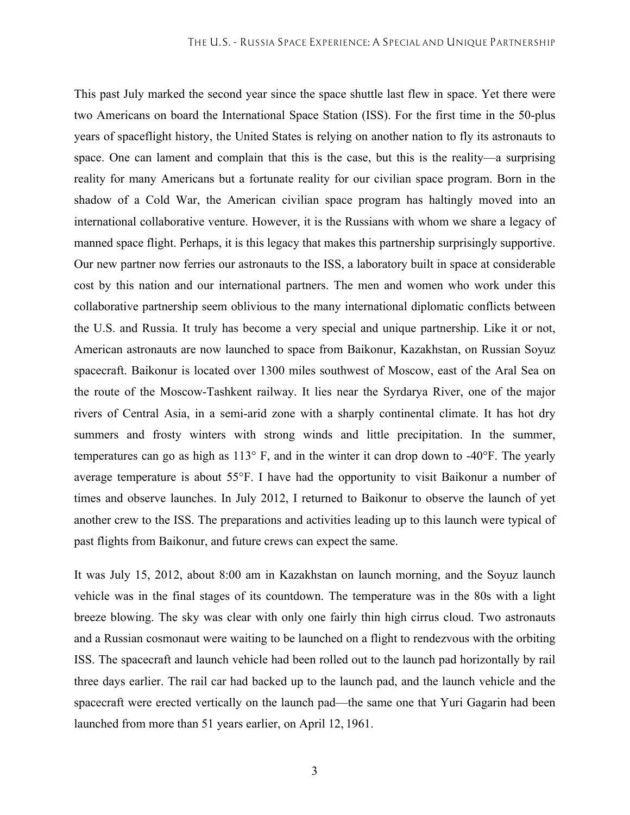This past July marked the second year since the space shuttle last flew in space. Yet there were two Americans on board the International Space Station (ISS). For the first time in the 50-plus years of spaceflight history, the United States is relying on another nation to fly its astronauts to space. One can lament and complain that this is the case, but this is the reality—a surprising reality for many Americans but a fortunate reality for our civilian space program. Born in the shadow of a Cold War, the American civilian space program has haltingly moved into an international collaborative venture. However, it is the Russians with whom we share a legacy of manned space flight. Perhaps, it is this legacy that makes this partnership surprisingly supportive. Our new partner now ferries our astronauts to the ISS, a laboratory built in space at considerable cost by this nation and our international partners. The men and women who work under this collaborative partnership seem oblivious to the many international diplomatic conflicts between the U.S. and Russia. It truly has become a very special and unique partnership. Like it or not, American astronauts are now launched to space from Baikonur, Kazakhstan, on Russian Soyuz spacecraft. Baikonur is located over 1300 miles southwest of Moscow, east of the Aral Sea on the route of the Moscow-Tashkent railway. It lies near the Syrdarya River, one of the major rivers of Central Asia, in a semi-arid zone with a sharply continental climate. It has hot dry summers and frosty winters with strong winds and little precipitation. In the summer, temperatures can go as high as 113° F, and in the winter it can drop down to -40°F. The yearly average temperature is about 55°F. I have had the opportunity to visit Baikonur a number of times and observe launches. In July 2012, I returned to Baikonur to observe the launch of yet another crew to the ISS. The preparations and activities leading up to this launch were typical of past flights from Baikonur, and future crews can expect the same.

It was July 15, 2012, about 8:00 am in Kazakhstan on launch morning, and the Soyuz launch vehicle was in the final stages of its countdown. The temperature was in the 80s with a light breeze blowing. The sky was clear with only one fairly thin high cirrus cloud. Two astronauts and a Russian cosmonaut were waiting to be launched on a flight to rendezvous with the orbiting ISS. The spacecraft and launch vehicle had been rolled out to the launch pad horizontally by rail three days earlier. The rail car had backed up to the launch pad, and the launch vehicle and the spacecraft were erected vertically on the launch pad—the same one that Yuri Gagarin had been launched from more than 51 years earlier, on April 12, 1961.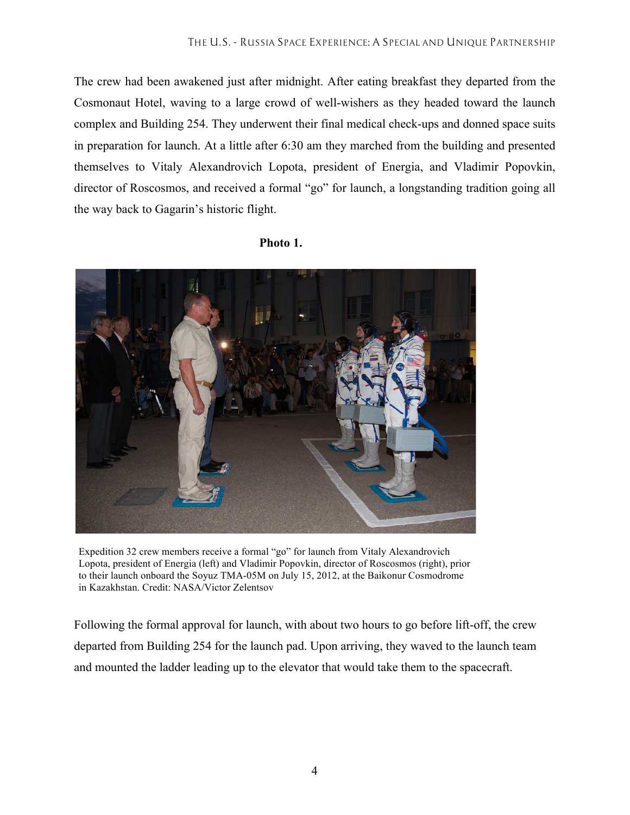The crew had been awakened just after midnight. After eating breakfast they departed from the Cosmonaut Hotel, waving to a large crowd of well-wishers as they headed toward the launch complex and Building 254. They underwent their final medical check-ups and donned space suits in preparation for launch. At a little after 6:30 am they marched from the building and presented themselves to Vitaly Alexandrovich Lopota, president of Energia, and Vladimir Popovkin, director of Roscosmos, and received a formal "go" for launch, a longstanding tradition going all the way back to Gagarin's historic flight.



#### **Photo 1.**

Expedition 32 crew members receive a formal "go" for launch from Vitaly Alexandrovich Lopota, president of Energia (left) and Vladimir Popovkin, director of Roscosmos (right), prior to their launch onboard the Soyuz TMA-05M on July 15, 2012, at the Baikonur Cosmodrome in Kazakhstan. Credit: NASA/Victor Zelentsov

Following the formal approval for launch, with about two hours to go before lift-off, the crew departed from Building 254 for the launch pad. Upon arriving, they waved to the launch team and mounted the ladder leading up to the elevator that would take them to the spacecraft.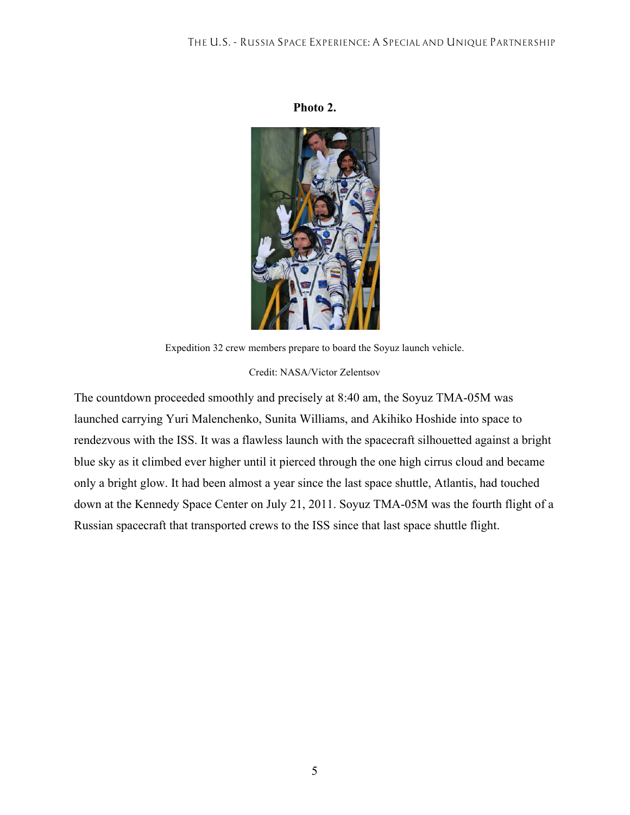#### **Photo 2.**



Expedition 32 crew members prepare to board the Soyuz launch vehicle.

Credit: NASA/Victor Zelentsov

The countdown proceeded smoothly and precisely at 8:40 am, the Soyuz TMA-05M was launched carrying Yuri Malenchenko, Sunita Williams, and Akihiko Hoshide into space to rendezvous with the ISS. It was a flawless launch with the spacecraft silhouetted against a bright blue sky as it climbed ever higher until it pierced through the one high cirrus cloud and became only a bright glow. It had been almost a year since the last space shuttle, Atlantis, had touched down at the Kennedy Space Center on July 21, 2011. Soyuz TMA-05M was the fourth flight of a Russian spacecraft that transported crews to the ISS since that last space shuttle flight.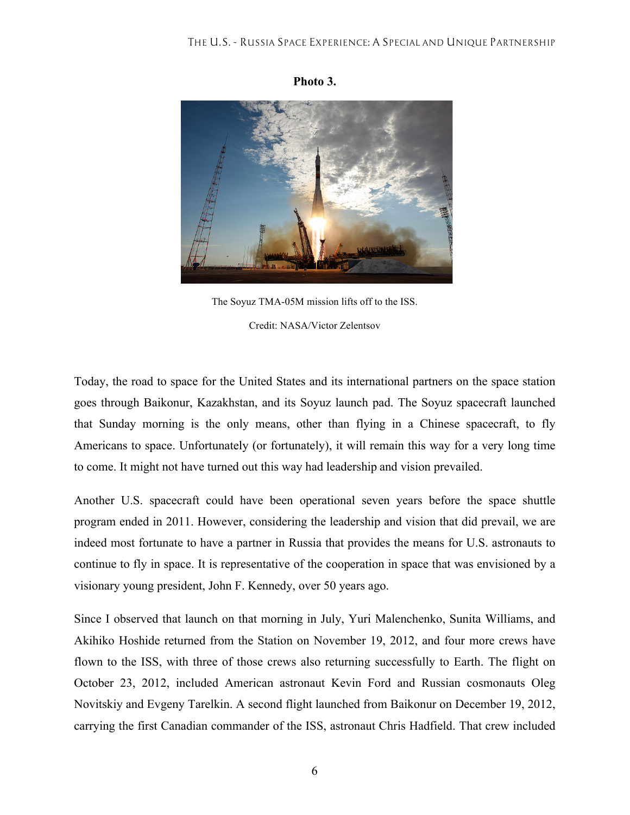

**Photo 3.**

The Soyuz TMA-05M mission lifts off to the ISS. Credit: NASA/Victor Zelentsov

Today, the road to space for the United States and its international partners on the space station goes through Baikonur, Kazakhstan, and its Soyuz launch pad. The Soyuz spacecraft launched that Sunday morning is the only means, other than flying in a Chinese spacecraft, to fly Americans to space. Unfortunately (or fortunately), it will remain this way for a very long time to come. It might not have turned out this way had leadership and vision prevailed.

Another U.S. spacecraft could have been operational seven years before the space shuttle program ended in 2011. However, considering the leadership and vision that did prevail, we are indeed most fortunate to have a partner in Russia that provides the means for U.S. astronauts to continue to fly in space. It is representative of the cooperation in space that was envisioned by a visionary young president, John F. Kennedy, over 50 years ago.

Since I observed that launch on that morning in July, Yuri Malenchenko, Sunita Williams, and Akihiko Hoshide returned from the Station on November 19, 2012, and four more crews have flown to the ISS, with three of those crews also returning successfully to Earth. The flight on October 23, 2012, included American astronaut Kevin Ford and Russian cosmonauts Oleg Novitskiy and Evgeny Tarelkin. A second flight launched from Baikonur on December 19, 2012, carrying the first Canadian commander of the ISS, astronaut Chris Hadfield. That crew included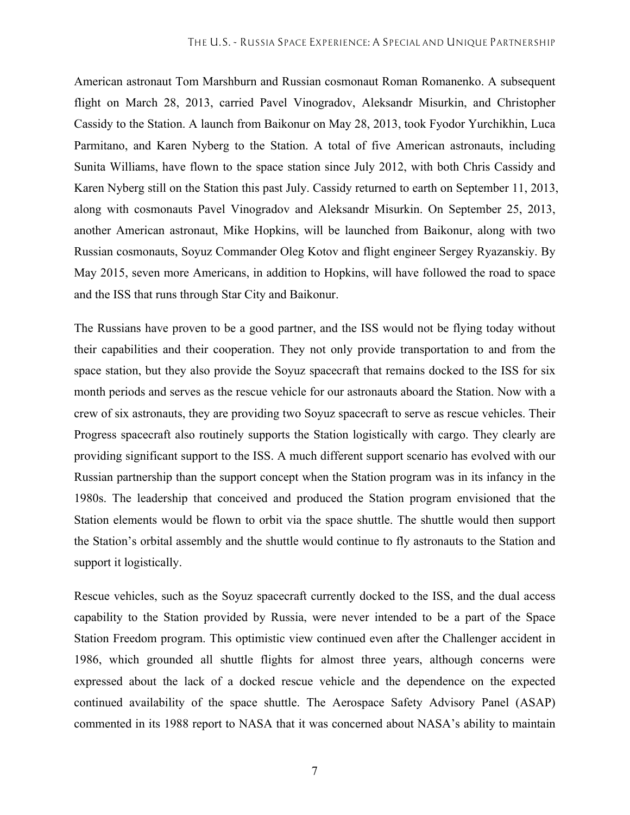American astronaut Tom Marshburn and Russian cosmonaut Roman Romanenko. A subsequent flight on March 28, 2013, carried Pavel Vinogradov, Aleksandr Misurkin, and Christopher Cassidy to the Station. A launch from Baikonur on May 28, 2013, took Fyodor Yurchikhin, Luca Parmitano, and Karen Nyberg to the Station. A total of five American astronauts, including Sunita Williams, have flown to the space station since July 2012, with both Chris Cassidy and Karen Nyberg still on the Station this past July. Cassidy returned to earth on September 11, 2013, along with cosmonauts Pavel Vinogradov and Aleksandr Misurkin. On September 25, 2013, another American astronaut, Mike Hopkins, will be launched from Baikonur, along with two Russian cosmonauts, Soyuz Commander Oleg Kotov and flight engineer Sergey Ryazanskiy. By May 2015, seven more Americans, in addition to Hopkins, will have followed the road to space and the ISS that runs through Star City and Baikonur.

The Russians have proven to be a good partner, and the ISS would not be flying today without their capabilities and their cooperation. They not only provide transportation to and from the space station, but they also provide the Soyuz spacecraft that remains docked to the ISS for six month periods and serves as the rescue vehicle for our astronauts aboard the Station. Now with a crew of six astronauts, they are providing two Soyuz spacecraft to serve as rescue vehicles. Their Progress spacecraft also routinely supports the Station logistically with cargo. They clearly are providing significant support to the ISS. A much different support scenario has evolved with our Russian partnership than the support concept when the Station program was in its infancy in the 1980s. The leadership that conceived and produced the Station program envisioned that the Station elements would be flown to orbit via the space shuttle. The shuttle would then support the Station's orbital assembly and the shuttle would continue to fly astronauts to the Station and support it logistically.

Rescue vehicles, such as the Soyuz spacecraft currently docked to the ISS, and the dual access capability to the Station provided by Russia, were never intended to be a part of the Space Station Freedom program. This optimistic view continued even after the Challenger accident in 1986, which grounded all shuttle flights for almost three years, although concerns were expressed about the lack of a docked rescue vehicle and the dependence on the expected continued availability of the space shuttle. The Aerospace Safety Advisory Panel (ASAP) commented in its 1988 report to NASA that it was concerned about NASA's ability to maintain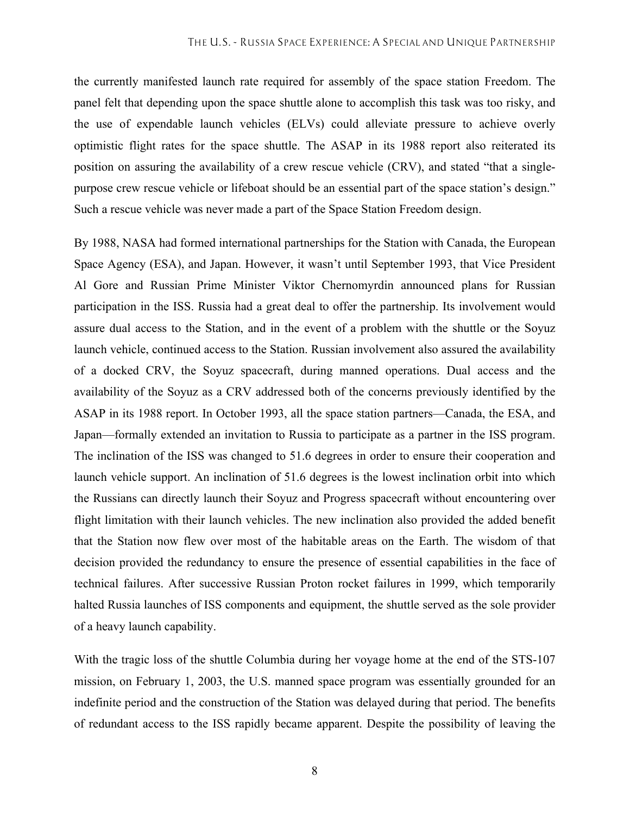the currently manifested launch rate required for assembly of the space station Freedom. The panel felt that depending upon the space shuttle alone to accomplish this task was too risky, and the use of expendable launch vehicles (ELVs) could alleviate pressure to achieve overly optimistic flight rates for the space shuttle. The ASAP in its 1988 report also reiterated its position on assuring the availability of a crew rescue vehicle (CRV), and stated "that a singlepurpose crew rescue vehicle or lifeboat should be an essential part of the space station's design." Such a rescue vehicle was never made a part of the Space Station Freedom design.

By 1988, NASA had formed international partnerships for the Station with Canada, the European Space Agency (ESA), and Japan. However, it wasn't until September 1993, that Vice President Al Gore and Russian Prime Minister Viktor Chernomyrdin announced plans for Russian participation in the ISS. Russia had a great deal to offer the partnership. Its involvement would assure dual access to the Station, and in the event of a problem with the shuttle or the Soyuz launch vehicle, continued access to the Station. Russian involvement also assured the availability of a docked CRV, the Soyuz spacecraft, during manned operations. Dual access and the availability of the Soyuz as a CRV addressed both of the concerns previously identified by the ASAP in its 1988 report. In October 1993, all the space station partners—Canada, the ESA, and Japan—formally extended an invitation to Russia to participate as a partner in the ISS program. The inclination of the ISS was changed to 51.6 degrees in order to ensure their cooperation and launch vehicle support. An inclination of 51.6 degrees is the lowest inclination orbit into which the Russians can directly launch their Soyuz and Progress spacecraft without encountering over flight limitation with their launch vehicles. The new inclination also provided the added benefit that the Station now flew over most of the habitable areas on the Earth. The wisdom of that decision provided the redundancy to ensure the presence of essential capabilities in the face of technical failures. After successive Russian Proton rocket failures in 1999, which temporarily halted Russia launches of ISS components and equipment, the shuttle served as the sole provider of a heavy launch capability.

With the tragic loss of the shuttle Columbia during her voyage home at the end of the STS-107 mission, on February 1, 2003, the U.S. manned space program was essentially grounded for an indefinite period and the construction of the Station was delayed during that period. The benefits of redundant access to the ISS rapidly became apparent. Despite the possibility of leaving the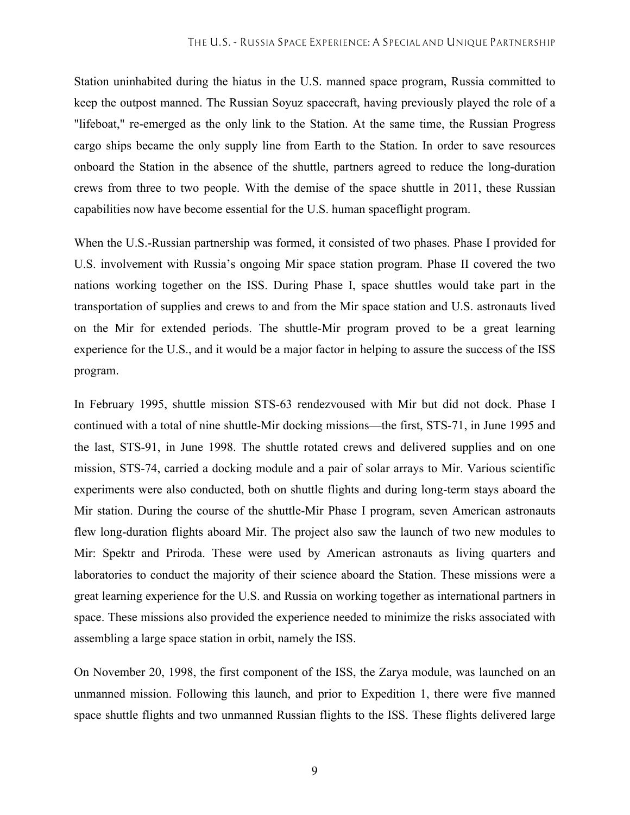Station uninhabited during the hiatus in the U.S. manned space program, Russia committed to keep the outpost manned. The Russian Soyuz spacecraft, having previously played the role of a "lifeboat," re-emerged as the only link to the Station. At the same time, the Russian Progress cargo ships became the only supply line from Earth to the Station. In order to save resources onboard the Station in the absence of the shuttle, partners agreed to reduce the long-duration crews from three to two people. With the demise of the space shuttle in 2011, these Russian capabilities now have become essential for the U.S. human spaceflight program.

When the U.S.-Russian partnership was formed, it consisted of two phases. Phase I provided for U.S. involvement with Russia's ongoing Mir space station program. Phase II covered the two nations working together on the ISS. During Phase I, space shuttles would take part in the transportation of supplies and crews to and from the Mir space station and U.S. astronauts lived on the Mir for extended periods. The shuttle-Mir program proved to be a great learning experience for the U.S., and it would be a major factor in helping to assure the success of the ISS program.

In February 1995, shuttle mission STS-63 rendezvoused with Mir but did not dock. Phase I continued with a total of nine shuttle-Mir docking missions—the first, STS-71, in June 1995 and the last, STS-91, in June 1998. The shuttle rotated crews and delivered supplies and on one mission, STS-74, carried a docking module and a pair of solar arrays to Mir. Various scientific experiments were also conducted, both on shuttle flights and during long-term stays aboard the Mir station. During the course of the shuttle-Mir Phase I program, seven American astronauts flew long-duration flights aboard Mir. The project also saw the launch of two new modules to Mir: Spektr and Priroda. These were used by American astronauts as living quarters and laboratories to conduct the majority of their science aboard the Station. These missions were a great learning experience for the U.S. and Russia on working together as international partners in space. These missions also provided the experience needed to minimize the risks associated with assembling a large space station in orbit, namely the ISS.

On November 20, 1998, the first component of the ISS, the Zarya module, was launched on an unmanned mission. Following this launch, and prior to Expedition 1, there were five manned space shuttle flights and two unmanned Russian flights to the ISS. These flights delivered large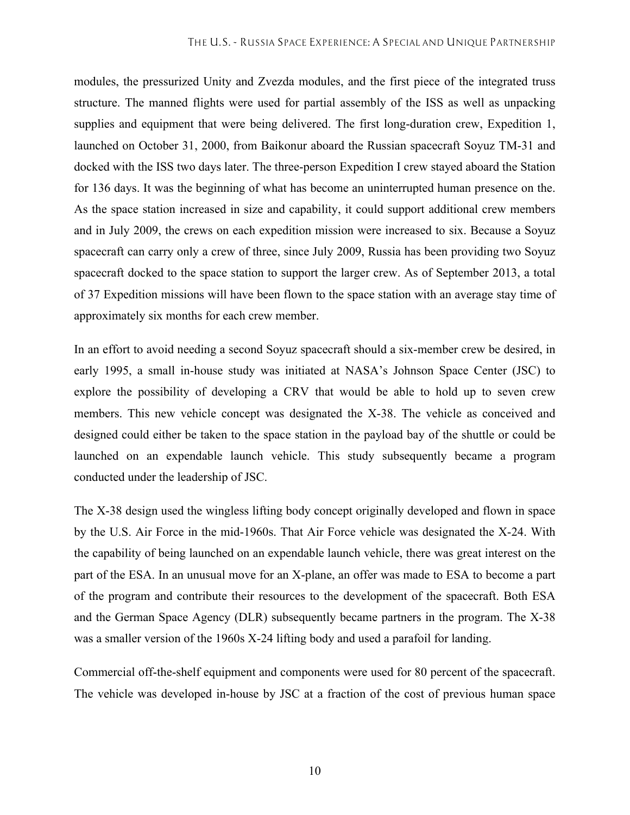modules, the pressurized Unity and Zvezda modules, and the first piece of the integrated truss structure. The manned flights were used for partial assembly of the ISS as well as unpacking supplies and equipment that were being delivered. The first long-duration crew, Expedition 1, launched on October 31, 2000, from Baikonur aboard the Russian spacecraft Soyuz TM-31 and docked with the ISS two days later. The three-person Expedition I crew stayed aboard the Station for 136 days. It was the beginning of what has become an uninterrupted human presence on the. As the space station increased in size and capability, it could support additional crew members and in July 2009, the crews on each expedition mission were increased to six. Because a Soyuz spacecraft can carry only a crew of three, since July 2009, Russia has been providing two Soyuz spacecraft docked to the space station to support the larger crew. As of September 2013, a total of 37 Expedition missions will have been flown to the space station with an average stay time of approximately six months for each crew member.

In an effort to avoid needing a second Soyuz spacecraft should a six-member crew be desired, in early 1995, a small in-house study was initiated at NASA's Johnson Space Center (JSC) to explore the possibility of developing a CRV that would be able to hold up to seven crew members. This new vehicle concept was designated the X-38. The vehicle as conceived and designed could either be taken to the space station in the payload bay of the shuttle or could be launched on an expendable launch vehicle. This study subsequently became a program conducted under the leadership of JSC.

The X-38 design used the wingless lifting body concept originally developed and flown in space by the U.S. Air Force in the mid-1960s. That Air Force vehicle was designated the X-24. With the capability of being launched on an expendable launch vehicle, there was great interest on the part of the ESA. In an unusual move for an X-plane, an offer was made to ESA to become a part of the program and contribute their resources to the development of the spacecraft. Both ESA and the German Space Agency (DLR) subsequently became partners in the program. The X-38 was a smaller version of the 1960s X-24 lifting body and used a parafoil for landing.

Commercial off-the-shelf equipment and components were used for 80 percent of the spacecraft. The vehicle was developed in-house by JSC at a fraction of the cost of previous human space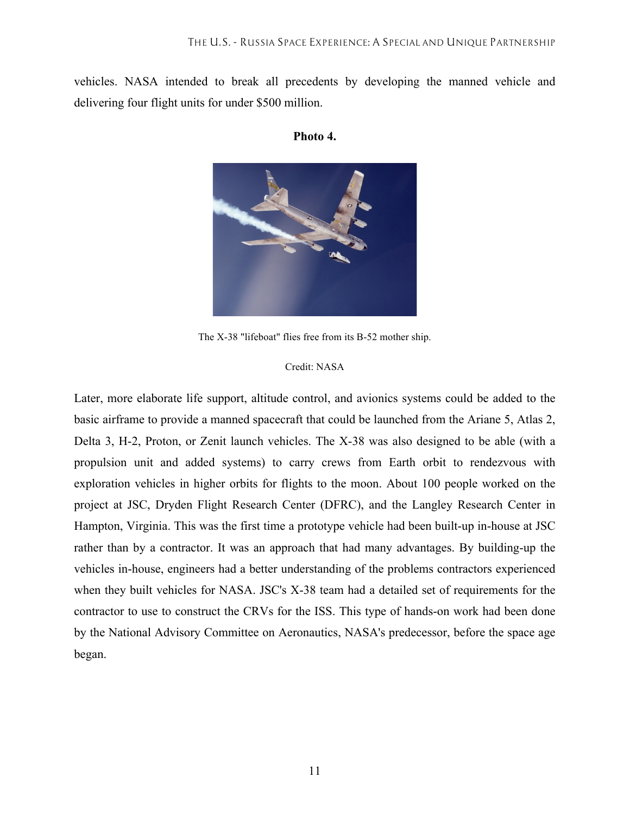vehicles. NASA intended to break all precedents by developing the manned vehicle and delivering four flight units for under \$500 million.



#### **Photo 4.**

The X-38 "lifeboat" flies free from its B-52 mother ship.

#### Credit: NASA

Later, more elaborate life support, altitude control, and avionics systems could be added to the basic airframe to provide a manned spacecraft that could be launched from the Ariane 5, Atlas 2, Delta 3, H-2, Proton, or Zenit launch vehicles. The X-38 was also designed to be able (with a propulsion unit and added systems) to carry crews from Earth orbit to rendezvous with exploration vehicles in higher orbits for flights to the moon. About 100 people worked on the project at JSC, Dryden Flight Research Center (DFRC), and the Langley Research Center in Hampton, Virginia. This was the first time a prototype vehicle had been built-up in-house at JSC rather than by a contractor. It was an approach that had many advantages. By building-up the vehicles in-house, engineers had a better understanding of the problems contractors experienced when they built vehicles for NASA. JSC's X-38 team had a detailed set of requirements for the contractor to use to construct the CRVs for the ISS. This type of hands-on work had been done by the National Advisory Committee on Aeronautics, NASA's predecessor, before the space age began.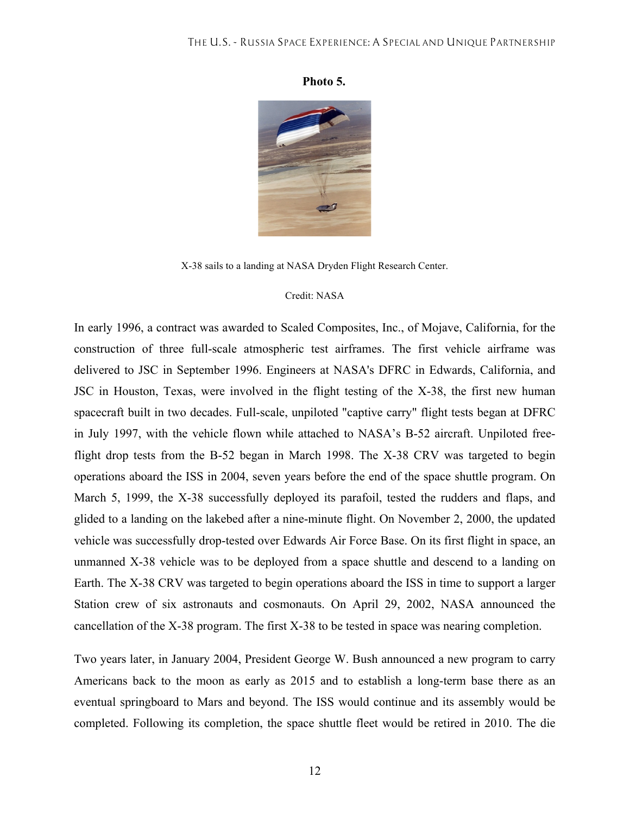#### **Photo 5.**



X-38 sails to a landing at NASA Dryden Flight Research Center.

#### Credit: NASA

In early 1996, a contract was awarded to Scaled Composites, Inc., of Mojave, California, for the construction of three full-scale atmospheric test airframes. The first vehicle airframe was delivered to JSC in September 1996. Engineers at NASA's DFRC in Edwards, California, and JSC in Houston, Texas, were involved in the flight testing of the X-38, the first new human spacecraft built in two decades. Full-scale, unpiloted "captive carry" flight tests began at DFRC in July 1997, with the vehicle flown while attached to NASA's B-52 aircraft. Unpiloted freeflight drop tests from the B-52 began in March 1998. The X-38 CRV was targeted to begin operations aboard the ISS in 2004, seven years before the end of the space shuttle program. On March 5, 1999, the X-38 successfully deployed its parafoil, tested the rudders and flaps, and glided to a landing on the lakebed after a nine-minute flight. On November 2, 2000, the updated vehicle was successfully drop-tested over Edwards Air Force Base. On its first flight in space, an unmanned X-38 vehicle was to be deployed from a space shuttle and descend to a landing on Earth. The X-38 CRV was targeted to begin operations aboard the ISS in time to support a larger Station crew of six astronauts and cosmonauts. On April 29, 2002, NASA announced the cancellation of the X-38 program. The first X-38 to be tested in space was nearing completion.

Two years later, in January 2004, President George W. Bush announced a new program to carry Americans back to the moon as early as 2015 and to establish a long-term base there as an eventual springboard to Mars and beyond. The ISS would continue and its assembly would be completed. Following its completion, the space shuttle fleet would be retired in 2010. The die